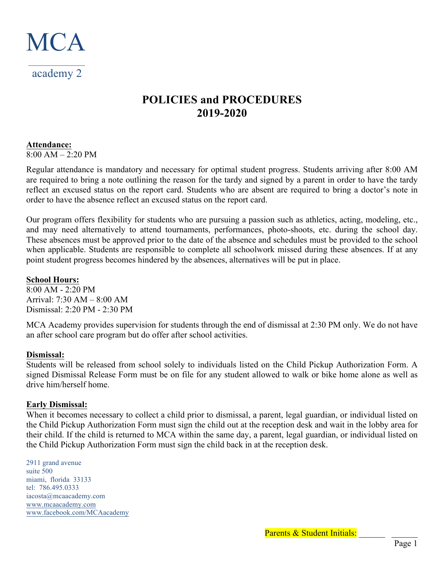

# **POLICIES and PROCEDURES 2019-2020**

## **Attendance:**

8:00 AM – 2:20 PM

Regular attendance is mandatory and necessary for optimal student progress. Students arriving after 8:00 AM are required to bring a note outlining the reason for the tardy and signed by a parent in order to have the tardy reflect an excused status on the report card. Students who are absent are required to bring a doctor's note in order to have the absence reflect an excused status on the report card.

Our program offers flexibility for students who are pursuing a passion such as athletics, acting, modeling, etc., and may need alternatively to attend tournaments, performances, photo-shoots, etc. during the school day. These absences must be approved prior to the date of the absence and schedules must be provided to the school when applicable. Students are responsible to complete all schoolwork missed during these absences. If at any point student progress becomes hindered by the absences, alternatives will be put in place.

# **School Hours:**

8:00 AM - 2:20 PM Arrival: 7:30 AM – 8:00 AM Dismissal: 2:20 PM - 2:30 PM

MCA Academy provides supervision for students through the end of dismissal at 2:30 PM only. We do not have an after school care program but do offer after school activities.

# **Dismissal:**

Students will be released from school solely to individuals listed on the Child Pickup Authorization Form. A signed Dismissal Release Form must be on file for any student allowed to walk or bike home alone as well as drive him/herself home.

# **Early Dismissal:**

When it becomes necessary to collect a child prior to dismissal, a parent, legal guardian, or individual listed on the Child Pickup Authorization Form must sign the child out at the reception desk and wait in the lobby area for their child. If the child is returned to MCA within the same day, a parent, legal guardian, or individual listed on the Child Pickup Authorization Form must sign the child back in at the reception desk.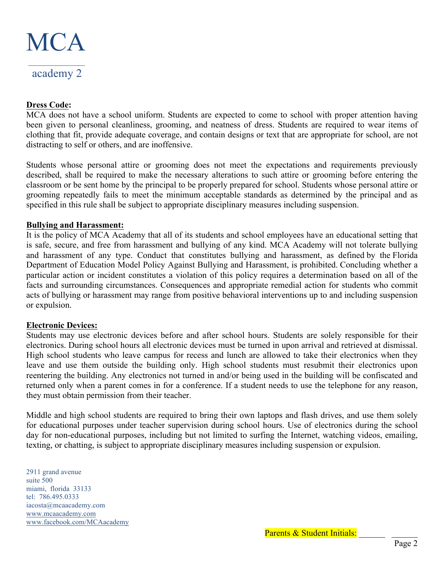

#### **Dress Code:**

MCA does not have a school uniform. Students are expected to come to school with proper attention having been given to personal cleanliness, grooming, and neatness of dress. Students are required to wear items of clothing that fit, provide adequate coverage, and contain designs or text that are appropriate for school, are not distracting to self or others, and are inoffensive.

Students whose personal attire or grooming does not meet the expectations and requirements previously described, shall be required to make the necessary alterations to such attire or grooming before entering the classroom or be sent home by the principal to be properly prepared for school. Students whose personal attire or grooming repeatedly fails to meet the minimum acceptable standards as determined by the principal and as specified in this rule shall be subject to appropriate disciplinary measures including suspension.

## **Bullying and Harassment:**

It is the policy of MCA Academy that all of its students and school employees have an educational setting that is safe, secure, and free from harassment and bullying of any kind. MCA Academy will not tolerate bullying and harassment of any type. Conduct that constitutes bullying and harassment, as defined by the Florida Department of Education Model Policy Against Bullying and Harassment, is prohibited. Concluding whether a particular action or incident constitutes a violation of this policy requires a determination based on all of the facts and surrounding circumstances. Consequences and appropriate remedial action for students who commit acts of bullying or harassment may range from positive behavioral interventions up to and including suspension or expulsion.

#### **Electronic Devices:**

Students may use electronic devices before and after school hours. Students are solely responsible for their electronics. During school hours all electronic devices must be turned in upon arrival and retrieved at dismissal. High school students who leave campus for recess and lunch are allowed to take their electronics when they leave and use them outside the building only. High school students must resubmit their electronics upon reentering the building. Any electronics not turned in and/or being used in the building will be confiscated and returned only when a parent comes in for a conference. If a student needs to use the telephone for any reason, they must obtain permission from their teacher.

Middle and high school students are required to bring their own laptops and flash drives, and use them solely for educational purposes under teacher supervision during school hours. Use of electronics during the school day for non-educational purposes, including but not limited to surfing the Internet, watching videos, emailing, texting, or chatting, is subject to appropriate disciplinary measures including suspension or expulsion.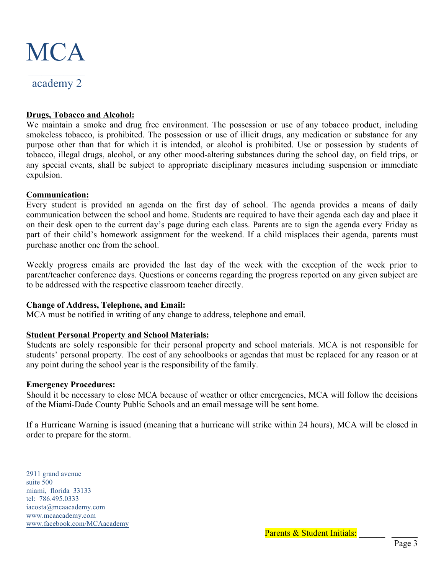

# academy 2

# **Drugs, Tobacco and Alcohol:**

We maintain a smoke and drug free environment. The possession or use of any tobacco product, including smokeless tobacco, is prohibited. The possession or use of illicit drugs, any medication or substance for any purpose other than that for which it is intended, or alcohol is prohibited. Use or possession by students of tobacco, illegal drugs, alcohol, or any other mood-altering substances during the school day, on field trips, or any special events, shall be subject to appropriate disciplinary measures including suspension or immediate expulsion.

## **Communication:**

Every student is provided an agenda on the first day of school. The agenda provides a means of daily communication between the school and home. Students are required to have their agenda each day and place it on their desk open to the current day's page during each class. Parents are to sign the agenda every Friday as part of their child's homework assignment for the weekend. If a child misplaces their agenda, parents must purchase another one from the school.

Weekly progress emails are provided the last day of the week with the exception of the week prior to parent/teacher conference days. Questions or concerns regarding the progress reported on any given subject are to be addressed with the respective classroom teacher directly.

#### **Change of Address, Telephone, and Email:**

MCA must be notified in writing of any change to address, telephone and email.

# **Student Personal Property and School Materials:**

Students are solely responsible for their personal property and school materials. MCA is not responsible for students' personal property. The cost of any schoolbooks or agendas that must be replaced for any reason or at any point during the school year is the responsibility of the family.

#### **Emergency Procedures:**

Should it be necessary to close MCA because of weather or other emergencies, MCA will follow the decisions of the Miami-Dade County Public Schools and an email message will be sent home.

If a Hurricane Warning is issued (meaning that a hurricane will strike within 24 hours), MCA will be closed in order to prepare for the storm.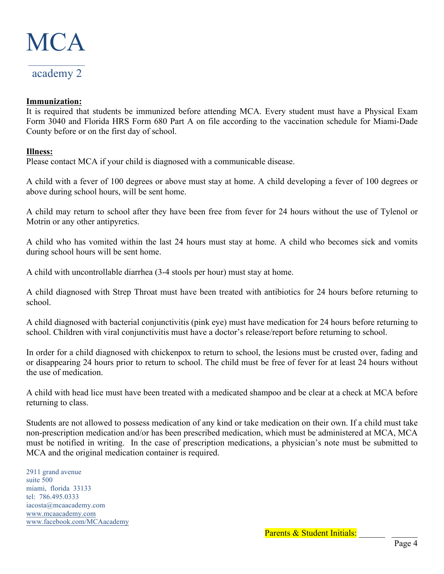

## **Immunization:**

It is required that students be immunized before attending MCA. Every student must have a Physical Exam Form 3040 and Florida HRS Form 680 Part A on file according to the vaccination schedule for Miami-Dade County before or on the first day of school.

## **Illness:**

Please contact MCA if your child is diagnosed with a communicable disease.

A child with a fever of 100 degrees or above must stay at home. A child developing a fever of 100 degrees or above during school hours, will be sent home.

A child may return to school after they have been free from fever for 24 hours without the use of Tylenol or Motrin or any other antipyretics.

A child who has vomited within the last 24 hours must stay at home. A child who becomes sick and vomits during school hours will be sent home.

A child with uncontrollable diarrhea (3-4 stools per hour) must stay at home.

A child diagnosed with Strep Throat must have been treated with antibiotics for 24 hours before returning to school.

A child diagnosed with bacterial conjunctivitis (pink eye) must have medication for 24 hours before returning to school. Children with viral conjunctivitis must have a doctor's release/report before returning to school.

In order for a child diagnosed with chickenpox to return to school, the lesions must be crusted over, fading and or disappearing 24 hours prior to return to school. The child must be free of fever for at least 24 hours without the use of medication.

A child with head lice must have been treated with a medicated shampoo and be clear at a check at MCA before returning to class.

Students are not allowed to possess medication of any kind or take medication on their own. If a child must take non-prescription medication and/or has been prescribed medication, which must be administered at MCA, MCA must be notified in writing. In the case of prescription medications, a physician's note must be submitted to MCA and the original medication container is required.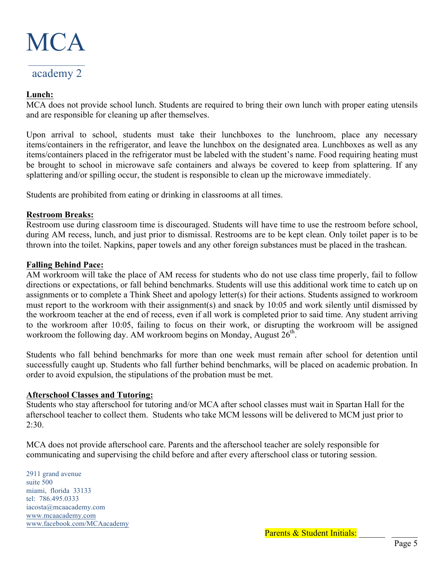

## **Lunch:**

MCA does not provide school lunch. Students are required to bring their own lunch with proper eating utensils and are responsible for cleaning up after themselves.

Upon arrival to school, students must take their lunchboxes to the lunchroom, place any necessary items/containers in the refrigerator, and leave the lunchbox on the designated area. Lunchboxes as well as any items/containers placed in the refrigerator must be labeled with the student's name. Food requiring heating must be brought to school in microwave safe containers and always be covered to keep from splattering. If any splattering and/or spilling occur, the student is responsible to clean up the microwave immediately.

Students are prohibited from eating or drinking in classrooms at all times.

#### **Restroom Breaks:**

Restroom use during classroom time is discouraged. Students will have time to use the restroom before school, during AM recess, lunch, and just prior to dismissal. Restrooms are to be kept clean. Only toilet paper is to be thrown into the toilet. Napkins, paper towels and any other foreign substances must be placed in the trashcan.

## **Falling Behind Pace:**

AM workroom will take the place of AM recess for students who do not use class time properly, fail to follow directions or expectations, or fall behind benchmarks. Students will use this additional work time to catch up on assignments or to complete a Think Sheet and apology letter(s) for their actions. Students assigned to workroom must report to the workroom with their assignment(s) and snack by 10:05 and work silently until dismissed by the workroom teacher at the end of recess, even if all work is completed prior to said time. Any student arriving to the workroom after 10:05, failing to focus on their work, or disrupting the workroom will be assigned workroom the following day. AM workroom begins on Monday, August  $26<sup>th</sup>$ .

Students who fall behind benchmarks for more than one week must remain after school for detention until successfully caught up. Students who fall further behind benchmarks, will be placed on academic probation. In order to avoid expulsion, the stipulations of the probation must be met.

#### **Afterschool Classes and Tutoring:**

Students who stay afterschool for tutoring and/or MCA after school classes must wait in Spartan Hall for the afterschool teacher to collect them. Students who take MCM lessons will be delivered to MCM just prior to  $2:30.$ 

MCA does not provide afterschool care. Parents and the afterschool teacher are solely responsible for communicating and supervising the child before and after every afterschool class or tutoring session.